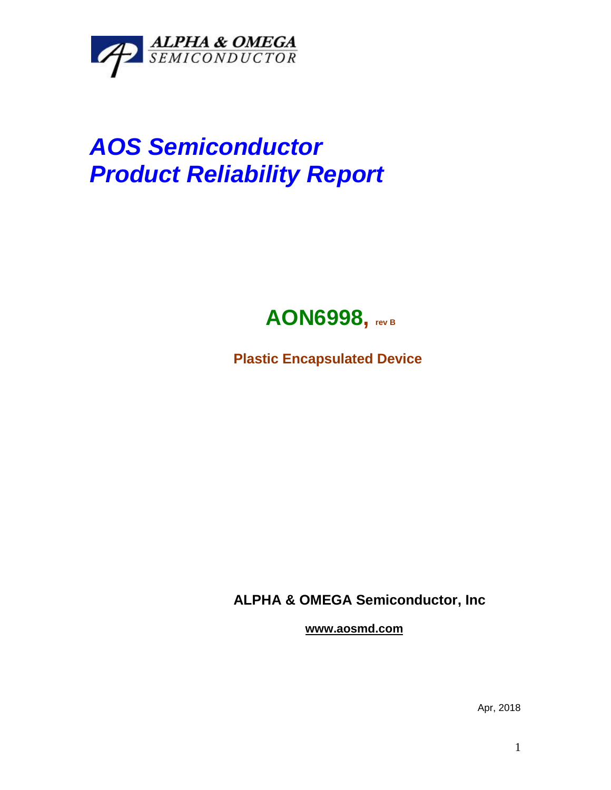

## *AOS Semiconductor Product Reliability Report*



**Plastic Encapsulated Device**

**ALPHA & OMEGA Semiconductor, Inc**

**www.aosmd.com**

Apr, 2018